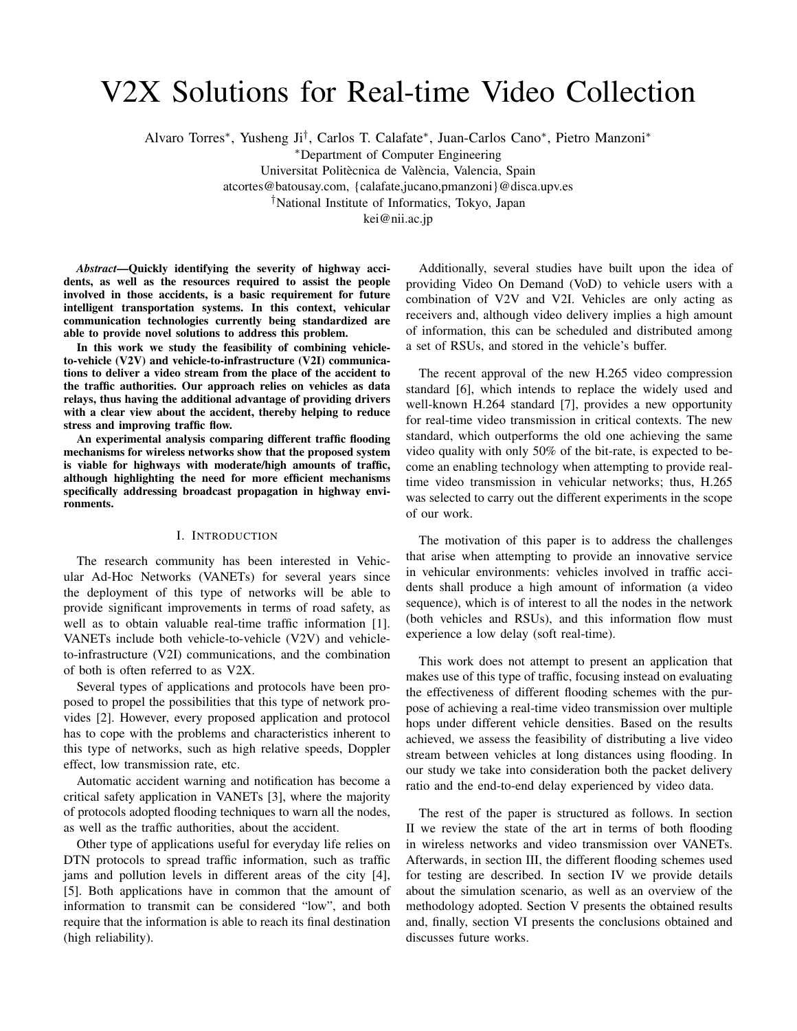# V2X Solutions for Real-time Video Collection

Alvaro Torres<sup>∗</sup> , Yusheng Ji† , Carlos T. Calafate<sup>∗</sup> , Juan-Carlos Cano<sup>∗</sup> , Pietro Manzoni<sup>∗</sup>

<sup>∗</sup>Department of Computer Engineering

Universitat Politècnica de València, Valencia, Spain atcortes@batousay.com, {calafate,jucano,pmanzoni}@disca.upv.es †National Institute of Informatics, Tokyo, Japan

kei@nii.ac.jp

*Abstract*—Quickly identifying the severity of highway accidents, as well as the resources required to assist the people involved in those accidents, is a basic requirement for future intelligent transportation systems. In this context, vehicular communication technologies currently being standardized are able to provide novel solutions to address this problem.

In this work we study the feasibility of combining vehicleto-vehicle (V2V) and vehicle-to-infrastructure (V2I) communications to deliver a video stream from the place of the accident to the traffic authorities. Our approach relies on vehicles as data relays, thus having the additional advantage of providing drivers with a clear view about the accident, thereby helping to reduce stress and improving traffic flow.

An experimental analysis comparing different traffic flooding mechanisms for wireless networks show that the proposed system is viable for highways with moderate/high amounts of traffic, although highlighting the need for more efficient mechanisms specifically addressing broadcast propagation in highway environments.

# I. INTRODUCTION

The research community has been interested in Vehicular Ad-Hoc Networks (VANETs) for several years since the deployment of this type of networks will be able to provide significant improvements in terms of road safety, as well as to obtain valuable real-time traffic information [1]. VANETs include both vehicle-to-vehicle (V2V) and vehicleto-infrastructure (V2I) communications, and the combination of both is often referred to as V2X.

Several types of applications and protocols have been proposed to propel the possibilities that this type of network provides [2]. However, every proposed application and protocol has to cope with the problems and characteristics inherent to this type of networks, such as high relative speeds, Doppler effect, low transmission rate, etc.

Automatic accident warning and notification has become a critical safety application in VANETs [3], where the majority of protocols adopted flooding techniques to warn all the nodes, as well as the traffic authorities, about the accident.

Other type of applications useful for everyday life relies on DTN protocols to spread traffic information, such as traffic jams and pollution levels in different areas of the city [4], [5]. Both applications have in common that the amount of information to transmit can be considered "low", and both require that the information is able to reach its final destination (high reliability).

Additionally, several studies have built upon the idea of providing Video On Demand (VoD) to vehicle users with a combination of V2V and V2I. Vehicles are only acting as receivers and, although video delivery implies a high amount of information, this can be scheduled and distributed among a set of RSUs, and stored in the vehicle's buffer.

The recent approval of the new H.265 video compression standard [6], which intends to replace the widely used and well-known H.264 standard [7], provides a new opportunity for real-time video transmission in critical contexts. The new standard, which outperforms the old one achieving the same video quality with only 50% of the bit-rate, is expected to become an enabling technology when attempting to provide realtime video transmission in vehicular networks; thus, H.265 was selected to carry out the different experiments in the scope of our work.

The motivation of this paper is to address the challenges that arise when attempting to provide an innovative service in vehicular environments: vehicles involved in traffic accidents shall produce a high amount of information (a video sequence), which is of interest to all the nodes in the network (both vehicles and RSUs), and this information flow must experience a low delay (soft real-time).

This work does not attempt to present an application that makes use of this type of traffic, focusing instead on evaluating the effectiveness of different flooding schemes with the purpose of achieving a real-time video transmission over multiple hops under different vehicle densities. Based on the results achieved, we assess the feasibility of distributing a live video stream between vehicles at long distances using flooding. In our study we take into consideration both the packet delivery ratio and the end-to-end delay experienced by video data.

The rest of the paper is structured as follows. In section II we review the state of the art in terms of both flooding in wireless networks and video transmission over VANETs. Afterwards, in section III, the different flooding schemes used for testing are described. In section IV we provide details about the simulation scenario, as well as an overview of the methodology adopted. Section V presents the obtained results and, finally, section VI presents the conclusions obtained and discusses future works.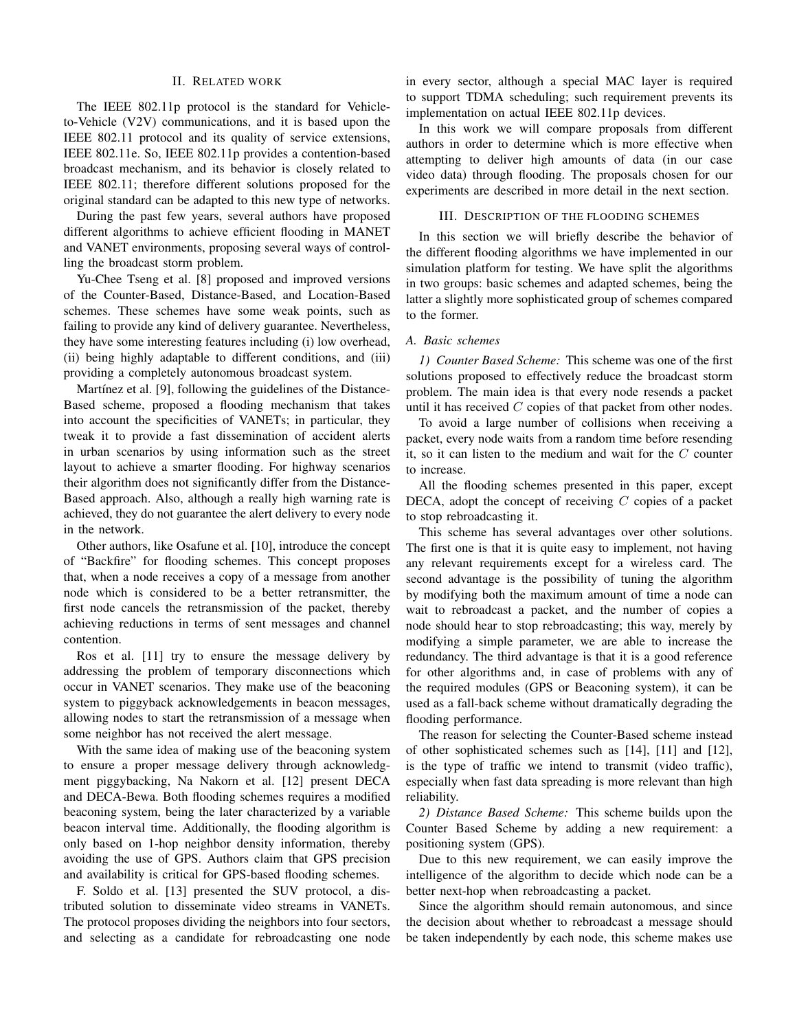#### II. RELATED WORK

The IEEE 802.11p protocol is the standard for Vehicleto-Vehicle (V2V) communications, and it is based upon the IEEE 802.11 protocol and its quality of service extensions, IEEE 802.11e. So, IEEE 802.11p provides a contention-based broadcast mechanism, and its behavior is closely related to IEEE 802.11; therefore different solutions proposed for the original standard can be adapted to this new type of networks.

During the past few years, several authors have proposed different algorithms to achieve efficient flooding in MANET and VANET environments, proposing several ways of controlling the broadcast storm problem.

Yu-Chee Tseng et al. [8] proposed and improved versions of the Counter-Based, Distance-Based, and Location-Based schemes. These schemes have some weak points, such as failing to provide any kind of delivery guarantee. Nevertheless, they have some interesting features including (i) low overhead, (ii) being highly adaptable to different conditions, and (iii) providing a completely autonomous broadcast system.

Martínez et al. [9], following the guidelines of the Distance-Based scheme, proposed a flooding mechanism that takes into account the specificities of VANETs; in particular, they tweak it to provide a fast dissemination of accident alerts in urban scenarios by using information such as the street layout to achieve a smarter flooding. For highway scenarios their algorithm does not significantly differ from the Distance-Based approach. Also, although a really high warning rate is achieved, they do not guarantee the alert delivery to every node in the network.

Other authors, like Osafune et al. [10], introduce the concept of "Backfire" for flooding schemes. This concept proposes that, when a node receives a copy of a message from another node which is considered to be a better retransmitter, the first node cancels the retransmission of the packet, thereby achieving reductions in terms of sent messages and channel contention.

Ros et al. [11] try to ensure the message delivery by addressing the problem of temporary disconnections which occur in VANET scenarios. They make use of the beaconing system to piggyback acknowledgements in beacon messages, allowing nodes to start the retransmission of a message when some neighbor has not received the alert message.

With the same idea of making use of the beaconing system to ensure a proper message delivery through acknowledgment piggybacking, Na Nakorn et al. [12] present DECA and DECA-Bewa. Both flooding schemes requires a modified beaconing system, being the later characterized by a variable beacon interval time. Additionally, the flooding algorithm is only based on 1-hop neighbor density information, thereby avoiding the use of GPS. Authors claim that GPS precision and availability is critical for GPS-based flooding schemes.

F. Soldo et al. [13] presented the SUV protocol, a distributed solution to disseminate video streams in VANETs. The protocol proposes dividing the neighbors into four sectors, and selecting as a candidate for rebroadcasting one node in every sector, although a special MAC layer is required to support TDMA scheduling; such requirement prevents its implementation on actual IEEE 802.11p devices.

In this work we will compare proposals from different authors in order to determine which is more effective when attempting to deliver high amounts of data (in our case video data) through flooding. The proposals chosen for our experiments are described in more detail in the next section.

# III. DESCRIPTION OF THE FLOODING SCHEMES

In this section we will briefly describe the behavior of the different flooding algorithms we have implemented in our simulation platform for testing. We have split the algorithms in two groups: basic schemes and adapted schemes, being the latter a slightly more sophisticated group of schemes compared to the former.

#### *A. Basic schemes*

*1) Counter Based Scheme:* This scheme was one of the first solutions proposed to effectively reduce the broadcast storm problem. The main idea is that every node resends a packet until it has received  $C$  copies of that packet from other nodes.

To avoid a large number of collisions when receiving a packet, every node waits from a random time before resending it, so it can listen to the medium and wait for the C counter to increase.

All the flooding schemes presented in this paper, except DECA, adopt the concept of receiving  $C$  copies of a packet to stop rebroadcasting it.

This scheme has several advantages over other solutions. The first one is that it is quite easy to implement, not having any relevant requirements except for a wireless card. The second advantage is the possibility of tuning the algorithm by modifying both the maximum amount of time a node can wait to rebroadcast a packet, and the number of copies a node should hear to stop rebroadcasting; this way, merely by modifying a simple parameter, we are able to increase the redundancy. The third advantage is that it is a good reference for other algorithms and, in case of problems with any of the required modules (GPS or Beaconing system), it can be used as a fall-back scheme without dramatically degrading the flooding performance.

The reason for selecting the Counter-Based scheme instead of other sophisticated schemes such as [14], [11] and [12], is the type of traffic we intend to transmit (video traffic), especially when fast data spreading is more relevant than high reliability.

*2) Distance Based Scheme:* This scheme builds upon the Counter Based Scheme by adding a new requirement: a positioning system (GPS).

Due to this new requirement, we can easily improve the intelligence of the algorithm to decide which node can be a better next-hop when rebroadcasting a packet.

Since the algorithm should remain autonomous, and since the decision about whether to rebroadcast a message should be taken independently by each node, this scheme makes use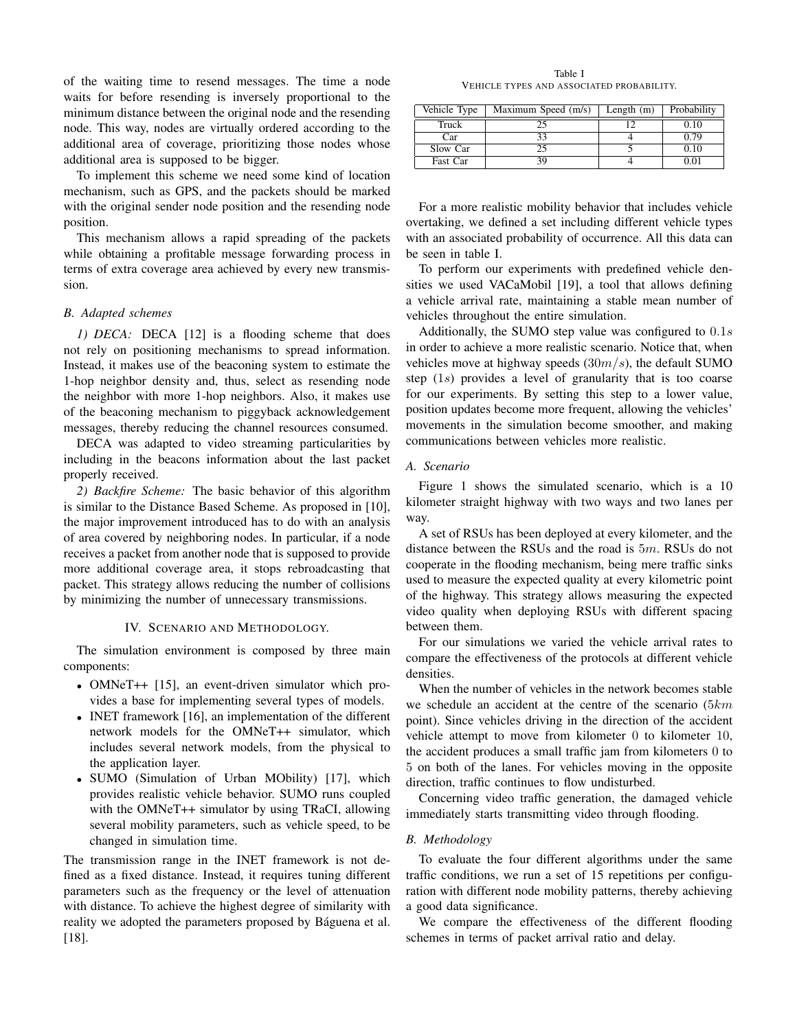of the waiting time to resend messages. The time a node waits for before resending is inversely proportional to the minimum distance between the original node and the resending node. This way, nodes are virtually ordered according to the additional area of coverage, prioritizing those nodes whose additional area is supposed to be bigger.

To implement this scheme we need some kind of location mechanism, such as GPS, and the packets should be marked with the original sender node position and the resending node position.

This mechanism allows a rapid spreading of the packets while obtaining a profitable message forwarding process in terms of extra coverage area achieved by every new transmission.

# *B. Adapted schemes*

*1) DECA:* DECA [12] is a flooding scheme that does not rely on positioning mechanisms to spread information. Instead, it makes use of the beaconing system to estimate the 1-hop neighbor density and, thus, select as resending node the neighbor with more 1-hop neighbors. Also, it makes use of the beaconing mechanism to piggyback acknowledgement messages, thereby reducing the channel resources consumed.

DECA was adapted to video streaming particularities by including in the beacons information about the last packet properly received.

*2) Backfire Scheme:* The basic behavior of this algorithm is similar to the Distance Based Scheme. As proposed in [10], the major improvement introduced has to do with an analysis of area covered by neighboring nodes. In particular, if a node receives a packet from another node that is supposed to provide more additional coverage area, it stops rebroadcasting that packet. This strategy allows reducing the number of collisions by minimizing the number of unnecessary transmissions.

#### IV. SCENARIO AND METHODOLOGY.

The simulation environment is composed by three main components:

- OMNeT++ [15], an event-driven simulator which provides a base for implementing several types of models.
- INET framework [16], an implementation of the different network models for the OMNeT++ simulator, which includes several network models, from the physical to the application layer.
- SUMO (Simulation of Urban MObility) [17], which provides realistic vehicle behavior. SUMO runs coupled with the OMNeT++ simulator by using TRaCI, allowing several mobility parameters, such as vehicle speed, to be changed in simulation time.

The transmission range in the INET framework is not defined as a fixed distance. Instead, it requires tuning different parameters such as the frequency or the level of attenuation with distance. To achieve the highest degree of similarity with reality we adopted the parameters proposed by Báguena et al. [18].

Table I VEHICLE TYPES AND ASSOCIATED PROBABILITY.

| Vehicle Type | Maximum Speed (m/s) | Length $(m)$ | Probability |
|--------------|---------------------|--------------|-------------|
| Truck        |                     |              | 0.10        |
| Car          | 33                  |              | 0.79        |
| Slow Car     |                     |              | 0.10        |
| Fast Car     | 39                  |              | 0.01        |

For a more realistic mobility behavior that includes vehicle overtaking, we defined a set including different vehicle types with an associated probability of occurrence. All this data can be seen in table I.

To perform our experiments with predefined vehicle densities we used VACaMobil [19], a tool that allows defining a vehicle arrival rate, maintaining a stable mean number of vehicles throughout the entire simulation.

Additionally, the SUMO step value was configured to  $0.1s$ in order to achieve a more realistic scenario. Notice that, when vehicles move at highway speeds  $(30m/s)$ , the default SUMO step (1s) provides a level of granularity that is too coarse for our experiments. By setting this step to a lower value, position updates become more frequent, allowing the vehicles' movements in the simulation become smoother, and making communications between vehicles more realistic.

# *A. Scenario*

Figure 1 shows the simulated scenario, which is a 10 kilometer straight highway with two ways and two lanes per way.

A set of RSUs has been deployed at every kilometer, and the distance between the RSUs and the road is  $5m$ . RSUs do not cooperate in the flooding mechanism, being mere traffic sinks used to measure the expected quality at every kilometric point of the highway. This strategy allows measuring the expected video quality when deploying RSUs with different spacing between them.

For our simulations we varied the vehicle arrival rates to compare the effectiveness of the protocols at different vehicle densities.

When the number of vehicles in the network becomes stable we schedule an accident at the centre of the scenario  $(5km)$ point). Since vehicles driving in the direction of the accident vehicle attempt to move from kilometer 0 to kilometer 10, the accident produces a small traffic jam from kilometers 0 to 5 on both of the lanes. For vehicles moving in the opposite direction, traffic continues to flow undisturbed.

Concerning video traffic generation, the damaged vehicle immediately starts transmitting video through flooding.

# *B. Methodology*

To evaluate the four different algorithms under the same traffic conditions, we run a set of 15 repetitions per configuration with different node mobility patterns, thereby achieving a good data significance.

We compare the effectiveness of the different flooding schemes in terms of packet arrival ratio and delay.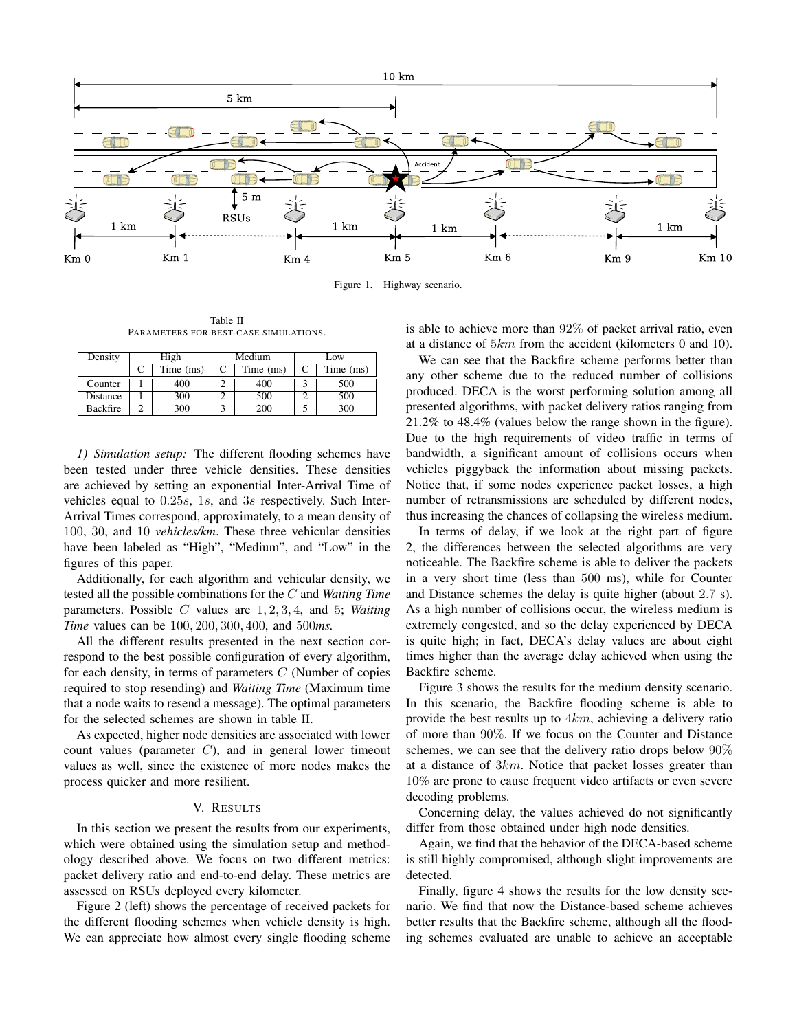

Figure 1. Highway scenario.

Table II PARAMETERS FOR BEST-CASE SIMULATIONS.

| Density         | High |             | Medium |           | Low |           |
|-----------------|------|-------------|--------|-----------|-----|-----------|
|                 |      | Time $(ms)$ |        | Time (ms) |     | Time (ms) |
| Counter         |      | 400         |        | 400       |     | 500       |
| Distance        |      | 300         |        | 500       |     | 500       |
| <b>Backfire</b> |      | 300         |        | 200       |     | 300       |

*1) Simulation setup:* The different flooding schemes have been tested under three vehicle densities. These densities are achieved by setting an exponential Inter-Arrival Time of vehicles equal to 0.25s, 1s, and 3s respectively. Such Inter-Arrival Times correspond, approximately, to a mean density of 100, 30, and 10 *vehicles/km*. These three vehicular densities have been labeled as "High", "Medium", and "Low" in the figures of this paper.

Additionally, for each algorithm and vehicular density, we tested all the possible combinations for the C and *Waiting Time* parameters. Possible C values are 1, 2, 3, 4, and 5; *Waiting Time* values can be 100, 200, 300, 400, and 500*ms.*

All the different results presented in the next section correspond to the best possible configuration of every algorithm, for each density, in terms of parameters  $C$  (Number of copies required to stop resending) and *Waiting Time* (Maximum time that a node waits to resend a message). The optimal parameters for the selected schemes are shown in table II.

As expected, higher node densities are associated with lower count values (parameter  $C$ ), and in general lower timeout values as well, since the existence of more nodes makes the process quicker and more resilient.

# V. RESULTS

In this section we present the results from our experiments, which were obtained using the simulation setup and methodology described above. We focus on two different metrics: packet delivery ratio and end-to-end delay. These metrics are assessed on RSUs deployed every kilometer.

Figure 2 (left) shows the percentage of received packets for the different flooding schemes when vehicle density is high. We can appreciate how almost every single flooding scheme is able to achieve more than 92% of packet arrival ratio, even at a distance of 5km from the accident (kilometers 0 and 10).

We can see that the Backfire scheme performs better than any other scheme due to the reduced number of collisions produced. DECA is the worst performing solution among all presented algorithms, with packet delivery ratios ranging from 21.2% to 48.4% (values below the range shown in the figure). Due to the high requirements of video traffic in terms of bandwidth, a significant amount of collisions occurs when vehicles piggyback the information about missing packets. Notice that, if some nodes experience packet losses, a high number of retransmissions are scheduled by different nodes, thus increasing the chances of collapsing the wireless medium.

In terms of delay, if we look at the right part of figure 2, the differences between the selected algorithms are very noticeable. The Backfire scheme is able to deliver the packets in a very short time (less than 500 ms), while for Counter and Distance schemes the delay is quite higher (about 2.7 s). As a high number of collisions occur, the wireless medium is extremely congested, and so the delay experienced by DECA is quite high; in fact, DECA's delay values are about eight times higher than the average delay achieved when using the Backfire scheme.

Figure 3 shows the results for the medium density scenario. In this scenario, the Backfire flooding scheme is able to provide the best results up to  $4km$ , achieving a delivery ratio of more than 90%. If we focus on the Counter and Distance schemes, we can see that the delivery ratio drops below 90% at a distance of 3km. Notice that packet losses greater than 10% are prone to cause frequent video artifacts or even severe decoding problems.

Concerning delay, the values achieved do not significantly differ from those obtained under high node densities.

Again, we find that the behavior of the DECA-based scheme is still highly compromised, although slight improvements are detected.

Finally, figure 4 shows the results for the low density scenario. We find that now the Distance-based scheme achieves better results that the Backfire scheme, although all the flooding schemes evaluated are unable to achieve an acceptable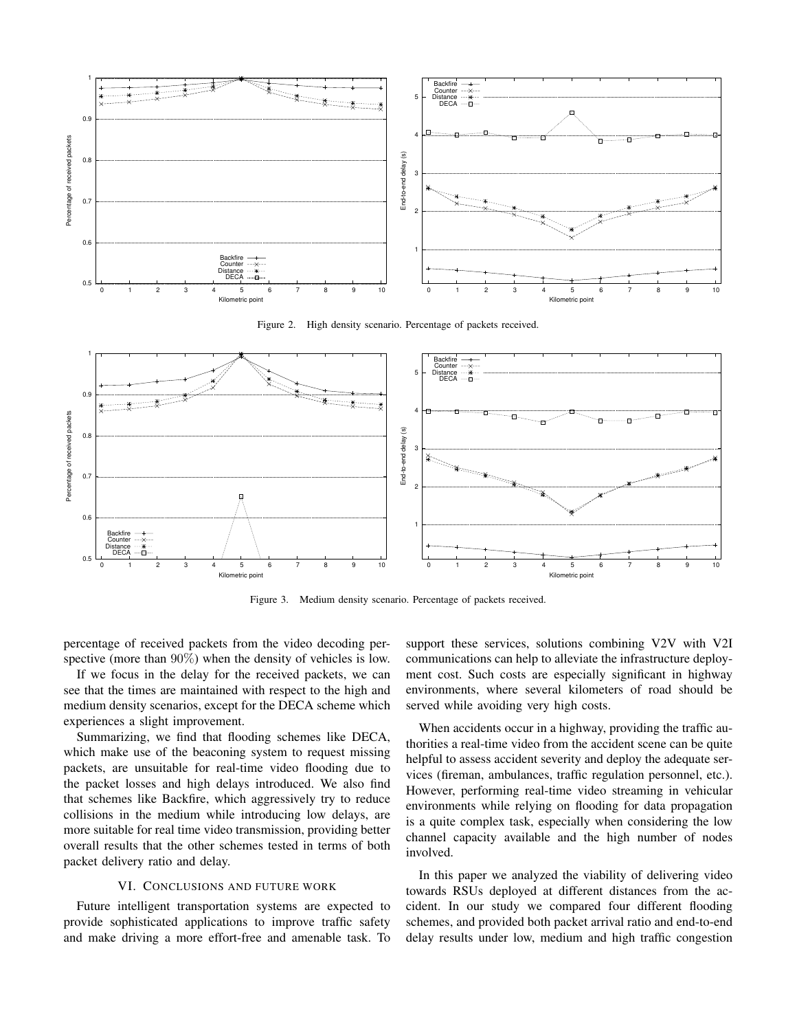

Figure 2. High density scenario. Percentage of packets received.



Figure 3. Medium density scenario. Percentage of packets received.

percentage of received packets from the video decoding perspective (more than 90%) when the density of vehicles is low.

If we focus in the delay for the received packets, we can see that the times are maintained with respect to the high and medium density scenarios, except for the DECA scheme which experiences a slight improvement.

Summarizing, we find that flooding schemes like DECA, which make use of the beaconing system to request missing packets, are unsuitable for real-time video flooding due to the packet losses and high delays introduced. We also find that schemes like Backfire, which aggressively try to reduce collisions in the medium while introducing low delays, are more suitable for real time video transmission, providing better overall results that the other schemes tested in terms of both packet delivery ratio and delay.

#### VI. CONCLUSIONS AND FUTURE WORK

Future intelligent transportation systems are expected to provide sophisticated applications to improve traffic safety and make driving a more effort-free and amenable task. To support these services, solutions combining V2V with V2I communications can help to alleviate the infrastructure deployment cost. Such costs are especially significant in highway environments, where several kilometers of road should be served while avoiding very high costs.

When accidents occur in a highway, providing the traffic authorities a real-time video from the accident scene can be quite helpful to assess accident severity and deploy the adequate services (fireman, ambulances, traffic regulation personnel, etc.). However, performing real-time video streaming in vehicular environments while relying on flooding for data propagation is a quite complex task, especially when considering the low channel capacity available and the high number of nodes involved.

In this paper we analyzed the viability of delivering video towards RSUs deployed at different distances from the accident. In our study we compared four different flooding schemes, and provided both packet arrival ratio and end-to-end delay results under low, medium and high traffic congestion